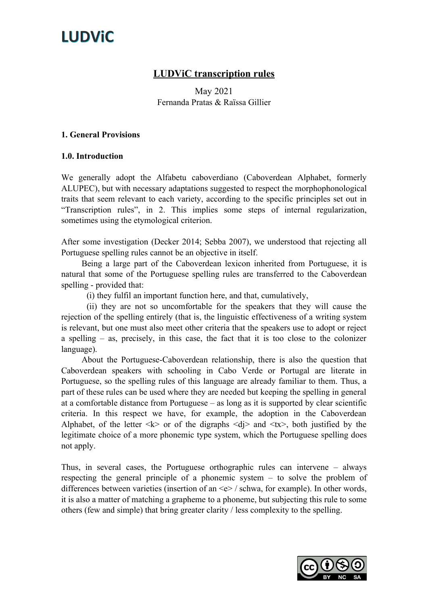### LUDViC transcription rules

May 2021 Fernanda Pratas & Raïssa Gillier

#### 1. General Provisions

### 1.0. Introduction

We generally adopt the Alfabetu caboverdiano (Caboverdean Alphabet, formerly ALUPEC), but with necessary adaptations suggested to respect the morphophonological traits that seem relevant to each variety, according to the specific principles set out in "Transcription rules", in 2. This implies some steps of internal regularization, sometimes using the etymological criterion.

After some investigation (Decker 2014; Sebba 2007), we understood that rejecting all Portuguese spelling rules cannot be an objective in itself.

Being a large part of the Caboverdean lexicon inherited from Portuguese, it is natural that some of the Portuguese spelling rules are transferred to the Caboverdean spelling - provided that:

(i) they fulfil an important function here, and that, cumulatively,

(ii) they are not so uncomfortable for the speakers that they will cause the rejection of the spelling entirely (that is, the linguistic effectiveness of a writing system is relevant, but one must also meet other criteria that the speakers use to adopt or reject a spelling – as, precisely, in this case, the fact that it is too close to the colonizer language).

About the Portuguese-Caboverdean relationship, there is also the question that Caboverdean speakers with schooling in Cabo Verde or Portugal are literate in Portuguese, so the spelling rules of this language are already familiar to them. Thus, a part of these rules can be used where they are needed but keeping the spelling in general at a comfortable distance from Portuguese – as long as it is supported by clear scientific criteria. In this respect we have, for example, the adoption in the Caboverdean Alphabet, of the letter  $\langle k \rangle$  or of the digraphs  $\langle d \rangle$  and  $\langle tx \rangle$ , both justified by the legitimate choice of a more phonemic type system, which the Portuguese spelling does not apply.

Thus, in several cases, the Portuguese orthographic rules can intervene – always respecting the general principle of a phonemic system – to solve the problem of differences between varieties (insertion of an  $\leq e$  / schwa, for example). In other words, it is also a matter of matching a grapheme to a phoneme, but subjecting this rule to some others (few and simple) that bring greater clarity / less complexity to the spelling.

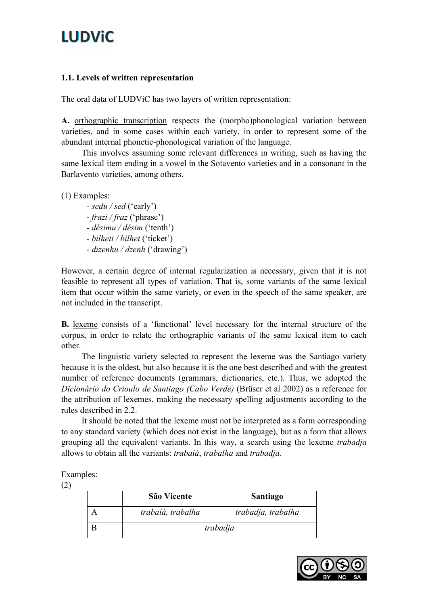### 1.1. Levels of written representation

The oral data of LUDViC has two layers of written representation:

A. orthographic transcription respects the (morpho)phonological variation between varieties, and in some cases within each variety, in order to represent some of the abundant internal phonetic-phonological variation of the language.

This involves assuming some relevant differences in writing, such as having the same lexical item ending in a vowel in the Sotavento varieties and in a consonant in the Barlavento varieties, among others.

(1) Examples:

- sedu / sed ('early') - frazi / fraz ('phrase') - désimu / désim ('tenth') - bilheti / bilhet ('ticket') - dizenhu / dzenh ('drawing')

However, a certain degree of internal regularization is necessary, given that it is not feasible to represent all types of variation. That is, some variants of the same lexical item that occur within the same variety, or even in the speech of the same speaker, are not included in the transcript.

B. lexeme consists of a 'functional' level necessary for the internal structure of the corpus, in order to relate the orthographic variants of the same lexical item to each other.

The linguistic variety selected to represent the lexeme was the Santiago variety because it is the oldest, but also because it is the one best described and with the greatest number of reference documents (grammars, dictionaries, etc.). Thus, we adopted the Dicionário do Crioulo de Santiago (Cabo Verde) (Brüser et al 2002) as a reference for the attribution of lexemes, making the necessary spelling adjustments according to the rules described in 2.2.

It should be noted that the lexeme must not be interpreted as a form corresponding to any standard variety (which does not exist in the language), but as a form that allows grouping all the equivalent variants. In this way, a search using the lexeme trabadja allows to obtain all the variants: trabaiá, trabalha and trabadja.

Examples:

(2)

| São Vicente       | <b>Santiago</b>    |
|-------------------|--------------------|
| trabaiá, trabalha | trabadja, trabalha |
| trabadja          |                    |

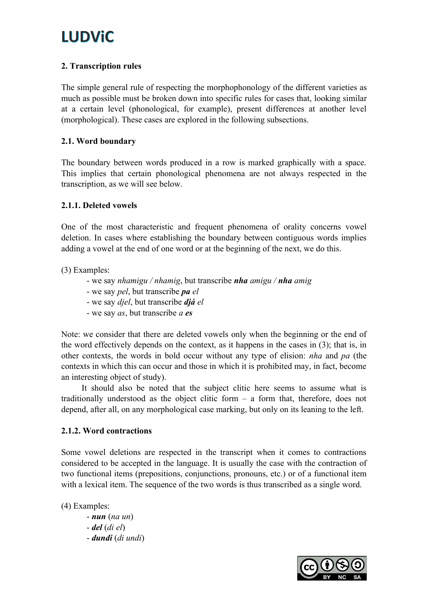### 2. Transcription rules

The simple general rule of respecting the morphophonology of the different varieties as much as possible must be broken down into specific rules for cases that, looking similar at a certain level (phonological, for example), present differences at another level (morphological). These cases are explored in the following subsections.

### 2.1. Word boundary

The boundary between words produced in a row is marked graphically with a space. This implies that certain phonological phenomena are not always respected in the transcription, as we will see below.

### 2.1.1. Deleted vowels

One of the most characteristic and frequent phenomena of orality concerns vowel deletion. In cases where establishing the boundary between contiguous words implies adding a vowel at the end of one word or at the beginning of the next, we do this.

(3) Examples:

- we say nhamigu / nhamig, but transcribe nha amigu / nha amig
- we say pel, but transcribe pa el
- we say *djel*, but transcribe *djá el*
- we say *as*, but transcribe *a es*

Note: we consider that there are deleted vowels only when the beginning or the end of the word effectively depends on the context, as it happens in the cases in (3); that is, in other contexts, the words in bold occur without any type of elision: nha and pa (the contexts in which this can occur and those in which it is prohibited may, in fact, become an interesting object of study).

It should also be noted that the subject clitic here seems to assume what is traditionally understood as the object clitic form – a form that, therefore, does not depend, after all, on any morphological case marking, but only on its leaning to the left.

### 2.1.2. Word contractions

Some vowel deletions are respected in the transcript when it comes to contractions considered to be accepted in the language. It is usually the case with the contraction of two functional items (prepositions, conjunctions, pronouns, etc.) or of a functional item with a lexical item. The sequence of the two words is thus transcribed as a single word.

(4) Examples:

 $-$ **nun** (na un)  $-$  del  $(di$  el) - dundi (di undi)

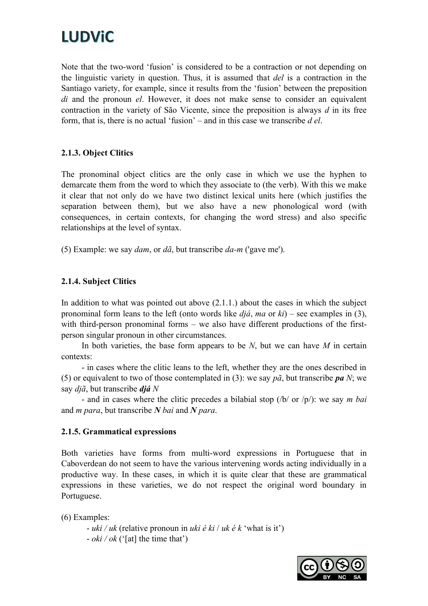# **LUDViC**

Note that the two-word 'fusion' is considered to be a contraction or not depending on the linguistic variety in question. Thus, it is assumed that del is a contraction in the Santiago variety, for example, since it results from the 'fusion' between the preposition di and the pronoun el. However, it does not make sense to consider an equivalent contraction in the variety of São Vicente, since the preposition is always  $d$  in its free form, that is, there is no actual 'fusion' – and in this case we transcribe  $d \, el$ .

### 2.1.3. Object Clitics

The pronominal object clitics are the only case in which we use the hyphen to demarcate them from the word to which they associate to (the verb). With this we make it clear that not only do we have two distinct lexical units here (which justifies the separation between them), but we also have a new phonological word (with consequences, in certain contexts, for changing the word stress) and also specific relationships at the level of syntax.

(5) Example: we say *dam*, or  $d\tilde{a}$ , but transcribe  $da-m$  ('gave me').

### 2.1.4. Subject Clitics

In addition to what was pointed out above (2.1.1.) about the cases in which the subject pronominal form leans to the left (onto words like  $di\hat{a}$ , ma or  $ki$ ) – see examples in (3), with third-person pronominal forms – we also have different productions of the firstperson singular pronoun in other circumstances.

In both varieties, the base form appears to be  $N$ , but we can have  $M$  in certain contexts:

- in cases where the clitic leans to the left, whether they are the ones described in (5) or equivalent to two of those contemplated in (3): we say  $p\tilde{a}$ , but transcribe pa N; we say  $di\tilde{a}$ , but transcribe  $di\tilde{a}$  N

- and in cases where the clitic precedes a bilabial stop  $(\frac{b}{\alpha} \cdot \frac{b}{\alpha})$ : we say *m* bai and  $m$  para, but transcribe  $N$  bai and  $N$  para.

#### 2.1.5. Grammatical expressions

Both varieties have forms from multi-word expressions in Portuguese that in Caboverdean do not seem to have the various intervening words acting individually in a productive way. In these cases, in which it is quite clear that these are grammatical expressions in these varieties, we do not respect the original word boundary in Portuguese.

(6) Examples:

- uki / uk (relative pronoun in uki é ki / uk é k 'what is it')  $- oki / ok$  ('[at] the time that')

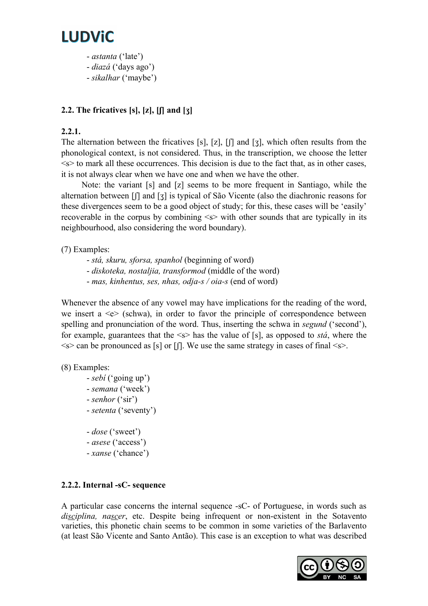

- astanta ('late')
- diazá ('days ago')

### - sikalhar ('maybe')

### 2.2. The fricatives  $[s]$ ,  $[z]$ ,  $[[]$  and  $[s]$

#### 2.2.1.

The alternation between the fricatives [s], [z], [ʃ] and [ʒ], which often results from the phonological context, is not considered. Thus, in the transcription, we choose the letter  $\leq s$  to mark all these occurrences. This decision is due to the fact that, as in other cases, it is not always clear when we have one and when we have the other.

Note: the variant [s] and [z] seems to be more frequent in Santiago, while the alternation between [ʃ] and [ʒ] is typical of São Vicente (also the diachronic reasons for these divergences seem to be a good object of study; for this, these cases will be 'easily' recoverable in the corpus by combining <s> with other sounds that are typically in its neighbourhood, also considering the word boundary).

(7) Examples:

- stá, skuru, sforsa, spanhol (beginning of word)
- diskoteka, nostaljia, transformod (middle of the word)
- mas, kinhentus, ses, nhas, odja-s / oia-s (end of word)

Whenever the absence of any vowel may have implications for the reading of the word, we insert a  $\leq e$  (schwa), in order to favor the principle of correspondence between spelling and pronunciation of the word. Thus, inserting the schwa in *segund* ('second'), for example, guarantees that the  $\leq s$  has the value of [s], as opposed to *sta*, where the  $\leq s$  can be pronounced as [s] or [f]. We use the same strategy in cases of final  $\leq s$ .

(8) Examples:

- sebí ('going up') - semana ('week') - senhor ('sir') - setenta ('seventy')
- dose ('sweet')
- asese ('access')
- xanse ('chance')

### 2.2.2. Internal -sC- sequence

A particular case concerns the internal sequence -sC- of Portuguese, in words such as disciplina, nascer, etc. Despite being infrequent or non-existent in the Sotavento varieties, this phonetic chain seems to be common in some varieties of the Barlavento (at least São Vicente and Santo Antão). This case is an exception to what was described

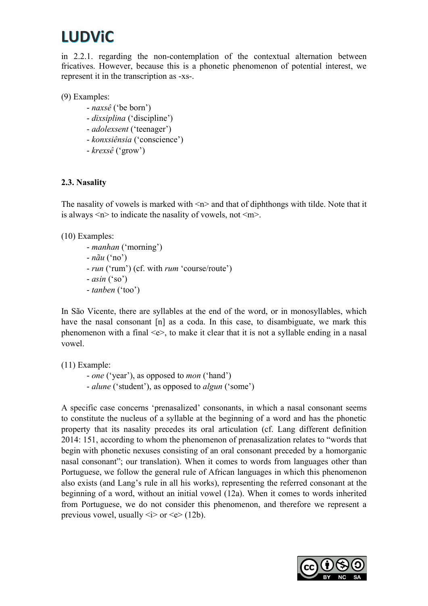### **LUDViC**

in 2.2.1. regarding the non-contemplation of the contextual alternation between fricatives. However, because this is a phonetic phenomenon of potential interest, we represent it in the transcription as -xs-.

(9) Examples:

- naxsê ('be born')
- dixsiplina ('discipline')
- adolexsent ('teenager')
- konxsiênsia ('conscience')
- krexsê ('grow')

### 2.3. Nasality

The nasality of vowels is marked with  $\leq n$  and that of diphthongs with tilde. Note that it is always  $\leq n$  to indicate the nasality of vowels, not  $\leq m$ .

(10) Examples:

- manhan ('morning')  $- n \tilde{a} u$  ('no') - *run* ('rum') (cf. with *rum* 'course/route')  $-axis in ('so')$ - tanben ('too')

In São Vicente, there are syllables at the end of the word, or in monosyllables, which have the nasal consonant [n] as a coda. In this case, to disambiguate, we mark this phenomenon with a final <e>, to make it clear that it is not a syllable ending in a nasal vowel.

(11) Example:

- one ('year'), as opposed to mon ('hand') - *alune* ('student'), as opposed to *algun* ('some')

A specific case concerns 'prenasalized' consonants, in which a nasal consonant seems to constitute the nucleus of a syllable at the beginning of a word and has the phonetic property that its nasality precedes its oral articulation (cf. Lang different definition 2014: 151, according to whom the phenomenon of prenasalization relates to "words that begin with phonetic nexuses consisting of an oral consonant preceded by a homorganic nasal consonant"; our translation). When it comes to words from languages other than Portuguese, we follow the general rule of African languages in which this phenomenon also exists (and Lang's rule in all his works), representing the referred consonant at the beginning of a word, without an initial vowel (12a). When it comes to words inherited from Portuguese, we do not consider this phenomenon, and therefore we represent a previous vowel, usually  $\langle i \rangle$  or  $\langle e \rangle$  (12b).

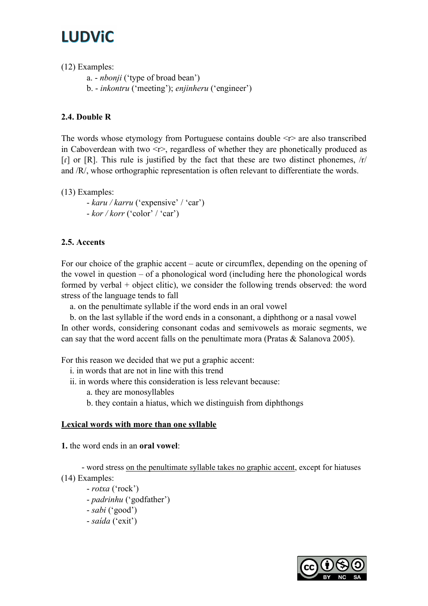(12) Examples:

a. - nbonji ('type of broad bean')

b. - inkontru ('meeting'); enjinheru ('engineer')

### 2.4. Double R

The words whose etymology from Portuguese contains double  $\langle r \rangle$  are also transcribed in Caboverdean with two  $\langle r \rangle$ , regardless of whether they are phonetically produced as  $\lceil$  or  $\lceil$  R]. This rule is justified by the fact that these are two distinct phonemes,  $\lceil$  r/ and /R/, whose orthographic representation is often relevant to differentiate the words.

(13) Examples:

- karu / karru ('expensive' / 'car')  $-kor / korr$  ('color' / 'car')

### 2.5. Accents

For our choice of the graphic accent – acute or circumflex, depending on the opening of the vowel in question – of a phonological word (including here the phonological words formed by verbal + object clitic), we consider the following trends observed: the word stress of the language tends to fall

a. on the penultimate syllable if the word ends in an oral vowel

 b. on the last syllable if the word ends in a consonant, a diphthong or a nasal vowel In other words, considering consonant codas and semivowels as moraic segments, we can say that the word accent falls on the penultimate mora (Pratas & Salanova 2005).

For this reason we decided that we put a graphic accent:

- i. in words that are not in line with this trend
- ii. in words where this consideration is less relevant because:
	- a. they are monosyllables
	- b. they contain a hiatus, which we distinguish from diphthongs

### Lexical words with more than one syllable

1. the word ends in an oral vowel:

- word stress on the penultimate syllable takes no graphic accent, except for hiatuses (14) Examples:

- rotxa ('rock') - padrinhu ('godfather') - sabi ('good') - saída ('exit')

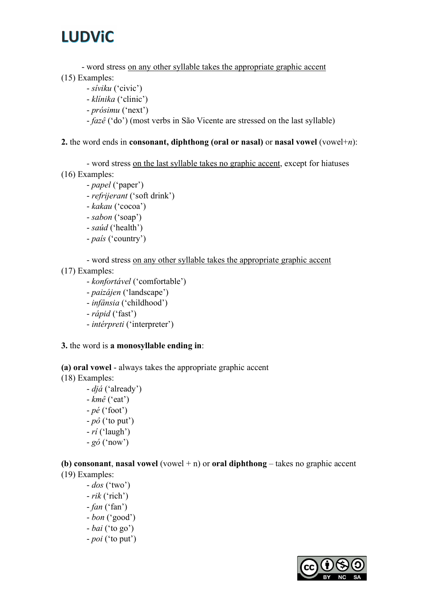- word stress on any other syllable takes the appropriate graphic accent

- (15) Examples:
	- síviku ('civic')
	- klínika ('clinic')
	- prósimu ('next')
	- fazê ('do') (most verbs in São Vicente are stressed on the last syllable)

### 2. the word ends in consonant, diphthong (oral or nasal) or nasal vowel (vowel+n):

- word stress on the last syllable takes no graphic accent, except for hiatuses (16) Examples:

- papel ('paper')
- refrijerant ('soft drink')
- kakau ('cocoa')
- sabon ('soap')
- saúd ('health')
- país ('country')

- word stress on any other syllable takes the appropriate graphic accent

- (17) Examples:
	- konfortável ('comfortable')
	- paizájen ('landscape')
	- infânsia ('childhood')
	- rápid ('fast')
	- intérpreti ('interpreter')

### 3. the word is a monosyllable ending in:

(a) oral vowel - always takes the appropriate graphic accent (18) Examples:

> - djá ('already')  $-km\hat{e}$  ('eat')  $-p$ é ('foot')  $-p\hat{o}$  ('to put')  $-ri$  ('laugh')  $-g\acute{o}$  ('now')

(b) consonant, nasal vowel (vowel  $+n$ ) or oral diphthong – takes no graphic accent (19) Examples:

 $-$  dos ('two')  $- rik$  ('rich')  $- fan('fan')$ - bon ('good') - bai ('to go') - poi ('to put')

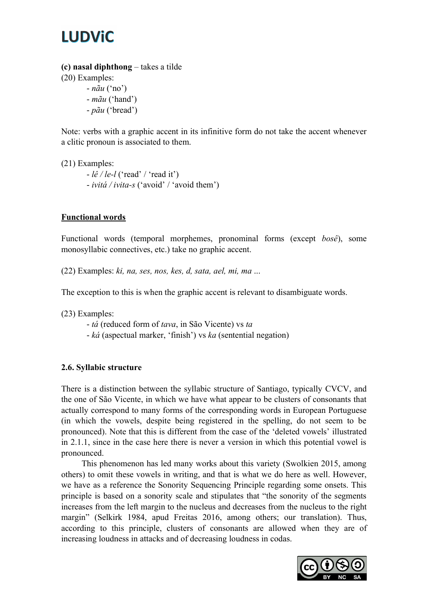(c) nasal diphthong – takes a tilde

(20) Examples:

 $- n \tilde{a} u$  ('no') - mãu ('hand') - pãu ('bread')

Note: verbs with a graphic accent in its infinitive form do not take the accent whenever a clitic pronoun is associated to them.

(21) Examples:  $-l\hat{e}/l\hat{e}$ -l ('read' / 'read it') - ivitá / ivita-s ('avoid' / 'avoid them')

### Functional words

Functional words (temporal morphemes, pronominal forms (except bosê), some monosyllabic connectives, etc.) take no graphic accent.

(22) Examples: ki, na, ses, nos, kes, d, sata, ael, mi, ma ...

The exception to this is when the graphic accent is relevant to disambiguate words.

(23) Examples:

- tá (reduced form of tava, in São Vicente) vs ta

- ká (aspectual marker, 'finish') vs ka (sentential negation)

### 2.6. Syllabic structure

There is a distinction between the syllabic structure of Santiago, typically CVCV, and the one of São Vicente, in which we have what appear to be clusters of consonants that actually correspond to many forms of the corresponding words in European Portuguese (in which the vowels, despite being registered in the spelling, do not seem to be pronounced). Note that this is different from the case of the 'deleted vowels' illustrated in 2.1.1, since in the case here there is never a version in which this potential vowel is pronounced.

This phenomenon has led many works about this variety (Swolkien 2015, among others) to omit these vowels in writing, and that is what we do here as well. However, we have as a reference the Sonority Sequencing Principle regarding some onsets. This principle is based on a sonority scale and stipulates that "the sonority of the segments increases from the left margin to the nucleus and decreases from the nucleus to the right margin" (Selkirk 1984, apud Freitas 2016, among others; our translation). Thus, according to this principle, clusters of consonants are allowed when they are of increasing loudness in attacks and of decreasing loudness in codas.

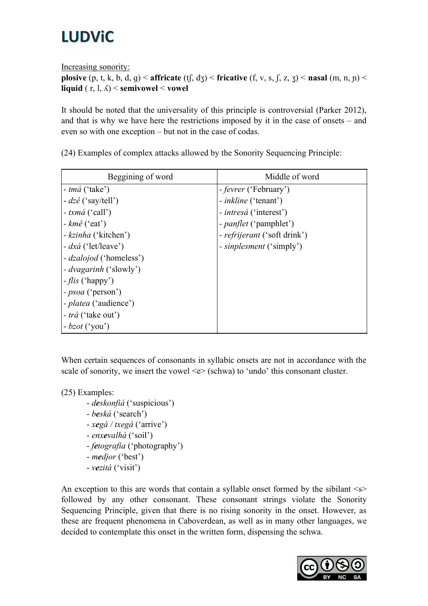Increasing sonority:

```
plosive (p, t, k, b, d, q) < affricate (tf, dz) < fricative (f, v, s, f, z, z) < nasal (m, n, n) <
liquid ( r, l, \Lambda) < semivowel < vowel
```
It should be noted that the universality of this principle is controversial (Parker 2012), and that is why we have here the restrictions imposed by it in the case of onsets – and even so with one exception – but not in the case of codas.

| Beggining of word            | Middle of word                      |
|------------------------------|-------------------------------------|
| $-tm\acute{a}$ ('take')      | - fevrer ('February')               |
| $-dz\hat{e}$ ('say/tell')    | - <i>inkline</i> ('tenant')         |
| - $txm\acute{a}$ ('call')    | - <i>intresá</i> ('interest')       |
| - $km\hat{e}$ ('eat')        | - <i>panflet</i> ('pamphlet')       |
| - kzinha ('kitchen')         | - <i>refrijerant</i> ('soft drink') |
| $- dx \dot{a}$ ('let/leave') | - <i>sinplesment</i> ('simply')     |
| - dzalojod ('homeless')      |                                     |
| - dvagarinh ('slowly')       |                                     |
| $-flis$ ('happy')            |                                     |
| - <i>psoa</i> ('person')     |                                     |
| - <i>platea</i> ('audience') |                                     |
| - trá ('take out')           |                                     |
| $-bzot('you')$               |                                     |

(24) Examples of complex attacks allowed by the Sonority Sequencing Principle:

When certain sequences of consonants in syllabic onsets are not in accordance with the scale of sonority, we insert the vowel  $\leq e$  (schwa) to 'undo' this consonant cluster.

(25) Examples:

- deskonfiá ('suspicious')
- beská ('search')
- $xeg\acute{a}/txeg\acute{a}$  ('arrive')
- enxevalhá ('soil')
- fetografia ('photography')
- medjor ('best')
- vezitá ('visit')

An exception to this are words that contain a syllable onset formed by the sibilant  $\langle s \rangle$ followed by any other consonant. These consonant strings violate the Sonority Sequencing Principle, given that there is no rising sonority in the onset. However, as these are frequent phenomena in Caboverdean, as well as in many other languages, we decided to contemplate this onset in the written form, dispensing the schwa.

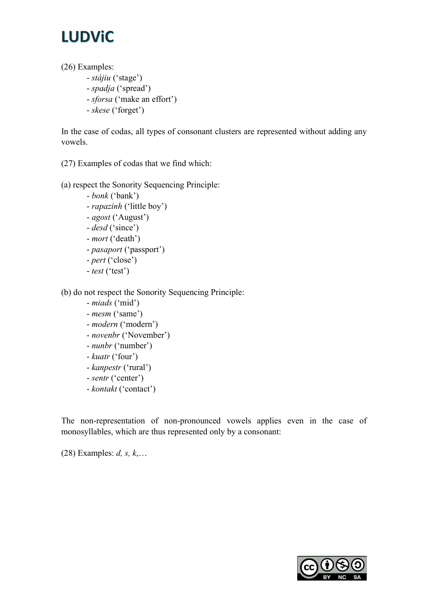# **LUDViC**

(26) Examples:

- stájiu ('stage')
- spadja ('spread')
- sforsa ('make an effort')
- skese ('forget')

In the case of codas, all types of consonant clusters are represented without adding any vowels.

(27) Examples of codas that we find which:

### (a) respect the Sonority Sequencing Principle:

- bonk ('bank') - rapazinh ('little boy') - agost ('August') - desd ('since') - mort ('death') - pasaport ('passport')
- pert ('close')
- test ('test')

(b) do not respect the Sonority Sequencing Principle:

- miads ('mid')
- mesm ('same')
- modern ('modern')
- novenbr ('November')
- nunbr ('number')
- kuatr ('four')
- kanpestr ('rural')
- sentr ('center')
- kontakt ('contact')

The non-representation of non-pronounced vowels applies even in the case of monosyllables, which are thus represented only by a consonant:

(28) Examples:  $d, s, k, \ldots$